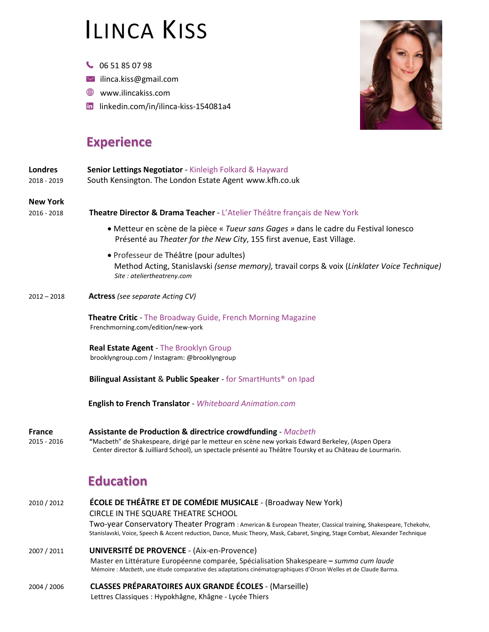## ILINCA KISS

- 06 51 85 07 98
- $\vee$  [ilinca.kiss@gmail.com](mailto:ilinca.kiss@gmail.com)
- [www.ilincakiss.com](http://www.ilincakiss.com/)
- linkedin.com/in/ilinca-kiss-154081a4



## **Experience**

| Londres<br>2018 - 2019         | Senior Lettings Negotiator - Kinleigh Folkard & Hayward<br>South Kensington. The London Estate Agent www.kfh.co.uk                                                                                                                                                                         |
|--------------------------------|--------------------------------------------------------------------------------------------------------------------------------------------------------------------------------------------------------------------------------------------------------------------------------------------|
| <b>New York</b><br>2016 - 2018 | Theatre Director & Drama Teacher - L'Atelier Théâtre français de New York                                                                                                                                                                                                                  |
|                                | • Metteur en scène de la pièce « Tueur sans Gages » dans le cadre du Festival lonesco<br>Présenté au Theater for the New City, 155 first avenue, East Village.                                                                                                                             |
|                                | • Professeur de Théâtre (pour adultes)<br>Method Acting, Stanislavski (sense memory), travail corps & voix (Linklater Voice Technique)<br>Site: ateliertheatreny.com                                                                                                                       |
| $2012 - 2018$                  | <b>Actress</b> (see separate Acting CV)                                                                                                                                                                                                                                                    |
|                                | <b>Theatre Critic</b> - The Broadway Guide, French Morning Magazine<br>Frenchmorning.com/edition/new-york                                                                                                                                                                                  |
|                                | Real Estate Agent - The Brooklyn Group<br>brooklyngroup.com / Instagram: @brooklyngroup                                                                                                                                                                                                    |
|                                | Bilingual Assistant & Public Speaker - for SmartHunts <sup>®</sup> on Ipad                                                                                                                                                                                                                 |
|                                | English to French Translator - Whiteboard Animation.com                                                                                                                                                                                                                                    |
| <b>France</b><br>2015 - 2016   | <b>Assistante de Production &amp; directrice crowdfunding - Macbeth</b><br>"Macbeth" de Shakespeare, dirigé par le metteur en scène new yorkais Edward Berkeley, (Aspen Opera<br>Center director & Juilliard School), un spectacle présenté au Théâtre Toursky et au Château de Lourmarin. |
|                                | <b>Education</b>                                                                                                                                                                                                                                                                           |
| 2010 / 2012                    | <b>ÉCOLE DE THÉÂTRE ET DE COMÉDIE MUSICALE - (Broadway New York)</b><br>CIRCLE IN THE SQUARE THEATRE SCHOOL                                                                                                                                                                                |
|                                | Two-year Conservatory Theater Program : American & European Theater, Classical training, Shakespeare, Tchekohv,<br>Stanislavski, Voice, Speech & Accent reduction, Dance, Music Theory, Mask, Cabaret, Singing, Stage Combat, Alexander Technique                                          |
| 2007 / 2011                    | <b>UNIVERSITÉ DE PROVENCE - (Aix-en-Provence)</b><br>Master en Littérature Européenne comparée, Spécialisation Shakespeare - summa cum laude<br>Mémoire : Macbeth, une étude comparative des adaptations cinématographiques d'Orson Welles et de Claude Barma.                             |

2004 / 2006 **CLASSES PRÉPARATOIRES AUX GRANDE ÉCOLES** - (Marseille)

Lettres Classiques : Hypokhâgne, Khâgne - Lycée Thiers